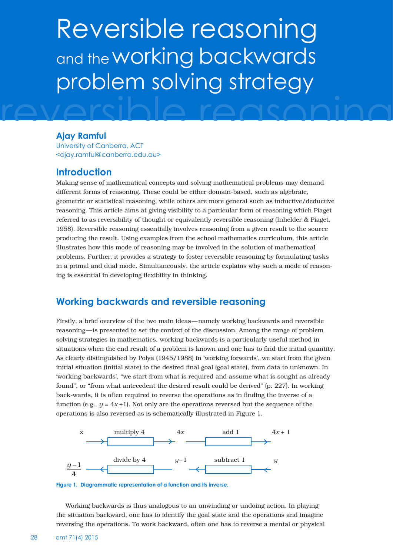# Reversible reasoning and the **working** backwards problem solving strategy

#### **Ajay Ramful**

University of Canberra, ACT <ajay.ramful@canberra.edu.au>

### **Introduction**

Making sense of mathematical concepts and solving mathematical problems may demand different forms of reasoning. These could be either domain-based, such as algebraic, geometric or statistical reasoning, while others are more general such as inductive/deductive reasoning. This article aims at giving visibility to a particular form of reasoning which Piaget referred to as reversibility of thought or equivalently reversible reasoning (Inhelder & Piaget, 1958). Reversible reasoning essentially involves reasoning from a given result to the source producing the result. Using examples from the school mathematics curriculum, this article illustrates how this mode of reasoning may be involved in the solution of mathematical problems. Further, it provides a strategy to foster reversible reasoning by formulating tasks in a primal and dual mode. Simultaneously, the article explains why such a mode of reasoning is essential in developing flexibility in thinking.

## **Working backwards and reversible reasoning**

Firstly, a brief overview of the two main ideas—namely working backwards and reversible reasoning—is presented to set the context of the discussion. Among the range of problem solving strategies in mathematics, working backwards is a particularly useful method in situations when the end result of a problem is known and one has to find the initial quantity. As clearly distinguished by Polya (1945/1988) in 'working forwards', we start from the given initial situation (initial state) to the desired final goal (goal state), from data to unknown. In 'working backwards', "we start from what is required and assume what is sought as already found", or "from what antecedent the desired result could be derived" (p. 227). In working back-wards, it is often required to reverse the operations as in finding the inverse of a function (e.g.,  $y = 4x + 1$ ). Not only are the operations reversed but the sequence of the operations is also reversed as is schematically illustrated in Figure 1.



**Figure 1. Diagrammatic representation of a function and its inverse.** 

Working backwards is thus analogous to an unwinding or undoing action. In playing the situation backward, one has to identify the goal state and the operations and imagine reversing the operations. To work backward, often one has to reverse a mental or physical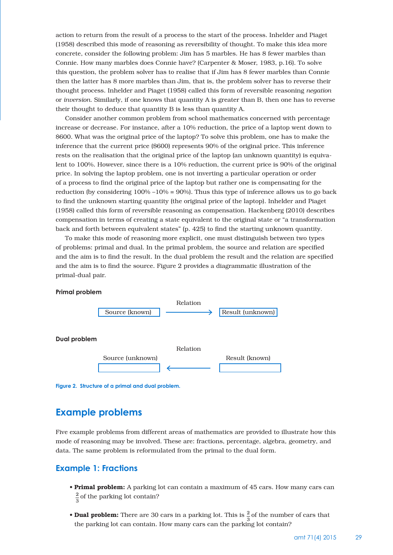action to return from the result of a process to the start of the process. Inhelder and Piaget (1958) described this mode of reasoning as reversibility of thought. To make this idea more concrete, consider the following problem: Jim has 5 marbles. He has 8 fewer marbles than Connie. How many marbles does Connie have? (Carpenter & Moser, 1983, p.16). To solve this question, the problem solver has to realise that if Jim has 8 fewer marbles than Connie then the latter has 8 more marbles than Jim, that is, the problem solver has to reverse their thought process. Inhelder and Piaget (1958) called this form of reversible reasoning *negation*  or *inversion*. Similarly, if one knows that quantity A is greater than B, then one has to reverse their thought to deduce that quantity B is less than quantity A.

Consider another common problem from school mathematics concerned with percentage increase or decrease. For instance, after a 10% reduction, the price of a laptop went down to \$600. What was the original price of the laptop? To solve this problem, one has to make the inference that the current price (\$600) represents 90% of the original price. This inference rests on the realisation that the original price of the laptop (an unknown quantity) is equivalent to 100%. However, since there is a 10% reduction, the current price is 90% of the original price. In solving the laptop problem, one is not inverting a particular operation or order of a process to find the original price of the laptop but rather one is compensating for the reduction (by considering  $100\% - 10\% = 90\%$ ). Thus this type of inference allows us to go back to find the unknown starting quantity (the original price of the laptop). Inhelder and Piaget (1958) called this form of reversible reasoning as compensation. Hackenberg (2010) describes compensation in terms of creating a state equivalent to the original state or "a transformation back and forth between equivalent states" (p. 425) to find the starting unknown quantity.

To make this mode of reasoning more explicit, one must distinguish between two types of problems: primal and dual. In the primal problem, the source and relation are specified and the aim is to find the result. In the dual problem the result and the relation are specified and the aim is to find the source. Figure 2 provides a diagrammatic illustration of the primal-dual pair.



#### **Primal problem**

**Figure 2. Structure of a primal and dual problem.**

## **Example problems**

Five example problems from different areas of mathematics are provided to illustrate how this mode of reasoning may be involved. These are: fractions, percentage, algebra, geometry, and data. The same problem is reformulated from the primal to the dual form.

#### **Example 1: Fractions**

- **Primal problem:** A parking lot can contain a maximum of 45 cars. How many cars can  $\frac{2}{3}$  of the parking lot contain?
- Dual problem: There are 30 cars in a parking lot. This is  $\frac{2}{3}$  of the number of cars that the parking lot can contain. How many cars can the parking lot contain?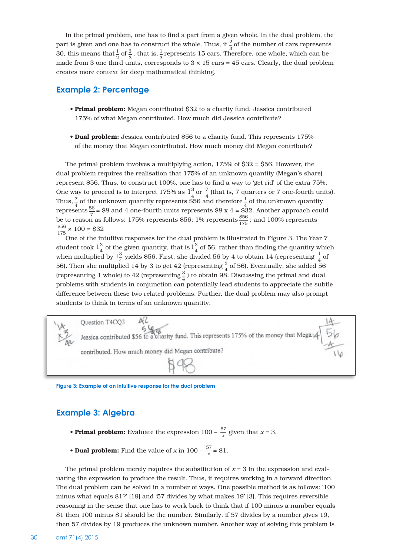In the primal problem, one has to find a part from a given whole. In the dual problem, the part is given and one has to construct the whole. Thus, if  $\frac{2}{3}$  of the number of cars represents 30, this means that  $\frac{1}{2}$  of  $\frac{2}{3}$ , that is,  $\frac{1}{3}$  represents 15 cars. Therefore, one whole, which can be made from 3 one third units, corresponds to  $3 \times 15$  cars = 45 cars. Clearly, the dual problem creates more context for deep mathematical thinking.

#### **Example 2: Percentage**

- Primal problem: Megan contributed \$32 to a charity fund. Jessica contributed 175% of what Megan contributed. How much did Jessica contribute?
- Dual problem: Jessica contributed \$56 to a charity fund. This represents 175% of the money that Megan contributed. How much money did Megan contribute?

The primal problem involves a multiplying action, 175% of \$32 = \$56. However, the dual problem requires the realisation that 175% of an unknown quantity (Megan's share) represent \$56. Thus, to construct 100%, one has to find a way to 'get rid' of the extra 75%. One way to proceed is to interpret 175% as  $1\frac{3}{4}$  or  $\frac{7}{4}$  (that is, 7 quarters or 7 one-fourth units). Thus,  $\frac{7}{4}$  of the unknown quantity represents \$56 and therefore  $\frac{1}{4}$  of the unknown quantity represents  $\frac{56}{7}$  = \$8 and 4 one-fourth units represents \$8 x 4 = \$32. Another approach could be to reason as follows: 175% represents \$56; 1% represents  $\frac{856}{175}$ ; and 100% represents  $\frac{$56}{175} \times 100 = $32$ 

One of the intuitive responses for the dual problem is illustrated in Figure 3. The Year 7 student took  $1\frac{3}{4}$  of the given quantity, that is  $1\frac{3}{4}$  of 56, rather than finding the quantity which when multiplied by  $1\frac{3}{4}$  yields \$56. First, she divided 56 by 4 to obtain 14 (representing  $\frac{1}{4}$  of 56). Then she multiplied 14 by 3 to get 42 (representing  $\frac{3}{4}$  of 56). Eventually, she added 56 (representing 1 whole) to 42 (representing  $\frac{3}{4}$ ) to obtain 98. Discussing the primal and dual problems with students in conjunction can potentially lead students to appreciate the subtle difference between these two related problems. Further, the dual problem may also prompt students to think in terms of an unknown quantity.



**Figure 3: Example of an intuitive response for the dual problem**

#### **Example 3: Algebra**

- **Primal problem:** Evaluate the expression  $100 \frac{57}{x}$  given that  $x = 3$ .
- **Dual problem:** Find the value of *x* in  $100 \frac{57}{x} = 81$ .

The primal problem merely requires the substitution of  $x = 3$  in the expression and evaluating the expression to produce the result. Thus, it requires working in a forward direction. The dual problem can be solved in a number of ways. One possible method is as follows: '100 minus what equals 81?' [19] and '57 divides by what makes 19' [3]. This requires reversible reasoning in the sense that one has to work back to think that if 100 minus a number equals 81 then 100 minus 81 should be the number. Similarly, if 57 divides by a number gives 19, then 57 divides by 19 produces the unknown number. Another way of solving this problem is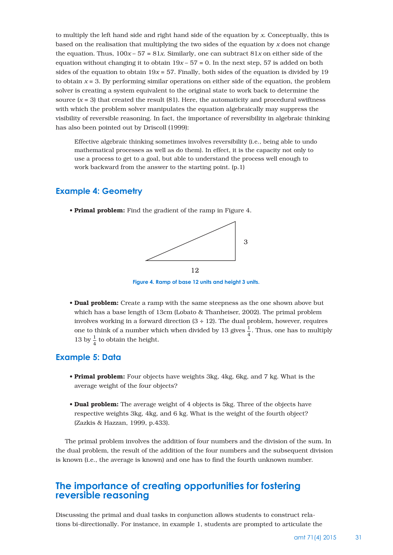to multiply the left hand side and right hand side of the equation by *x*. Conceptually, this is based on the realisation that multiplying the two sides of the equation by *x* does not change the equation. Thus,  $100x - 57 = 81x$ . Similarly, one can subtract  $81x$  on either side of the equation without changing it to obtain  $19x - 57 = 0$ . In the next step, 57 is added on both sides of the equation to obtain  $19x = 57$ . Finally, both sides of the equation is divided by 19 to obtain  $x = 3$ . By performing similar operations on either side of the equation, the problem solver is creating a system equivalent to the original state to work back to determine the source  $(x = 3)$  that created the result  $(81)$ . Here, the automaticity and procedural swiftness with which the problem solver manipulates the equation algebraically may suppress the visibility of reversible reasoning. In fact, the importance of reversibility in algebraic thinking has also been pointed out by Driscoll (1999):

Effective algebraic thinking sometimes involves reversibility (i.e., being able to undo mathematical processes as well as do them). In effect, it is the capacity not only to use a process to get to a goal, but able to understand the process well enough to work backward from the answer to the starting point. (p.1)

#### **Example 4: Geometry**

• Primal problem: Find the gradient of the ramp in Figure 4.



**Figure 4. Ramp of base 12 units and height 3 units.**

• Dual problem: Create a ramp with the same steepness as the one shown above but which has a base length of 13cm (Lobato & Thanheiser, 2002). The primal problem involves working in a forward direction  $(3 \div 12)$ . The dual problem, however, requires one to think of a number which when divided by 13 gives  $\frac{1}{4}$ . Thus, one has to multiply 13 by  $\frac{1}{4}$  to obtain the height.

#### **Example 5: Data**

- **Primal problem:** Four objects have weights 3kg, 4kg, 6kg, and 7 kg. What is the average weight of the four objects?
- **Dual problem:** The average weight of 4 objects is 5kg. Three of the objects have respective weights 3kg, 4kg, and 6 kg. What is the weight of the fourth object? (Zazkis & Hazzan, 1999, p.433).

The primal problem involves the addition of four numbers and the division of the sum. In the dual problem, the result of the addition of the four numbers and the subsequent division is known (i.e., the average is known) and one has to find the fourth unknown number.

# **The importance of creating opportunities for fostering reversible reasoning**

Discussing the primal and dual tasks in conjunction allows students to construct relations bi-directionally. For instance, in example 1, students are prompted to articulate the